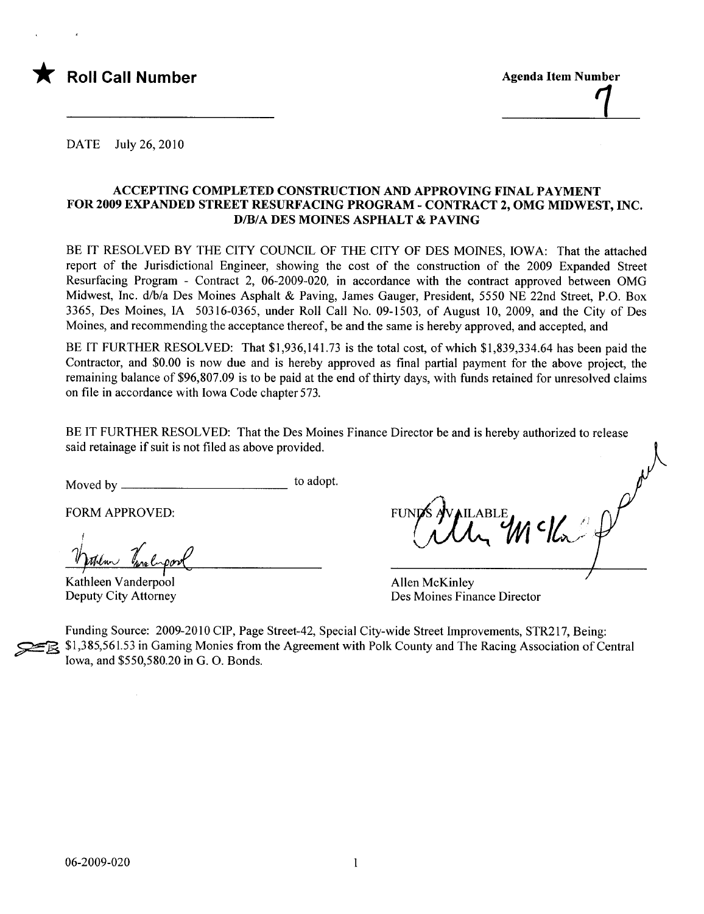

DATE July 26, 2010

### ACCEPTING COMPLETED CONSTRUCTION AND APPROVIG FINAL PAYMENT FOR 2009 EXPANDED STREET RESURFACING PROGRAM - CONTRACT 2, OMG MIDWEST, INC. D/B/A DES MOINES ASPHALT & PAVING

BE IT RESOLVED BY THE CITY COUNCIL OF THE CITY OF DES MOINES, IOWA: That the attached report of the Jurisdictional Engineer, showing the cost of the construction of the 2009 Expanded Street Resurfacing Program - Contract 2, 06-2009-020, in accordance with the contract approved between OMG Midwest, Inc. d/b/a Des Moines Asphalt & Paving, James Gauger, President, 5550 NE 22nd Street, P.O. Box 3365, Des Moines, IA 50316-0365, under Roll Call No. 09-1503, of August 10, 2009, and the City of Des Moines, and recommending the acceptance thereof, be and the same is hereby approved, and accepted, and

BE IT FURTHER RESOLVED: That \$1,936,141.73 is the total cost, of which \$1,839,334.64 has been paid the Contractor, and \$0.00 is now due and is hereby approved as final partial payment for the above project, the remaining balance of \$96,807.09 is to be paid at the end of thirty days, with funds retained for unresolved claims on file in accordance with Iowa Code chapter 573.

BE IT FURTHER RESOLVED: That the Des Moines Finance Director be and is hereby authorized to release said retainage if suit is not filed as above provided.

Moved by to adopt.

Varther Turnlipool

Kathleen Vanderpool Deputy City Attorney

FORM APPROVED: FUNDS AVAILABLE

Allen McKinley Des Moines Finance Director

Funding Source: 2009-2010 CIP, Page Street-42, Special City-wide Street Improvements, STR217, Being: ~ \$1,385,561.53 in Gaming Monies from the Agreement with Polk County and The Racing Association of Central Iowa, and \$550,580.20 in G. O. Bonds.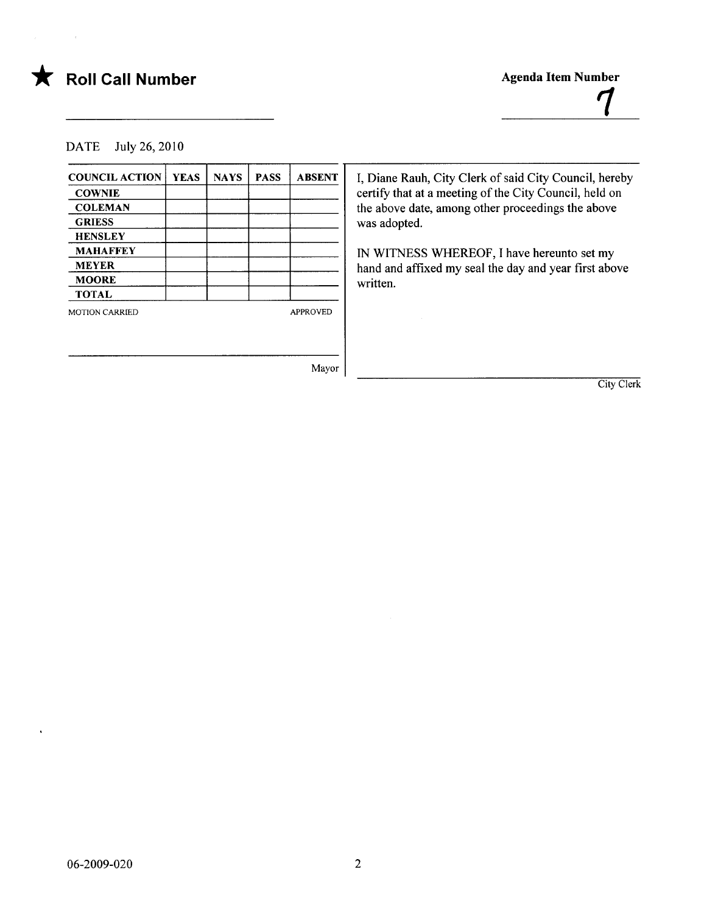

 $\sim$   $\alpha$ 

# $\bigstar$  Roll Call Number

Agenda Item Number  $\boldsymbol{q}$ 

DATE July 26, 2010

| <b>COUNCIL ACTION</b> | <b>YEAS</b> | <b>NAYS</b> | <b>PASS</b> | <b>ABSENT</b>   | I, Diane Rauh, City Clerk of said City Council, hereby |
|-----------------------|-------------|-------------|-------------|-----------------|--------------------------------------------------------|
| <b>COWNIE</b>         |             |             |             |                 | certify that at a meeting of the City Council, held on |
| <b>COLEMAN</b>        |             |             |             |                 | the above date, among other proceedings the above      |
| <b>GRIESS</b>         |             |             |             |                 | was adopted.                                           |
| <b>HENSLEY</b>        |             |             |             |                 |                                                        |
| <b>MAHAFFEY</b>       |             |             |             |                 | IN WITNESS WHEREOF, I have hereunto set my             |
| <b>MEYER</b>          |             |             |             |                 | hand and affixed my seal the day and year first above  |
| <b>MOORE</b>          |             |             |             |                 | written.                                               |
| <b>TOTAL</b>          |             |             |             |                 |                                                        |
| <b>MOTION CARRIED</b> |             |             |             | <b>APPROVED</b> |                                                        |
|                       |             |             |             |                 |                                                        |
|                       |             |             |             |                 |                                                        |
|                       |             |             |             | Mayor           |                                                        |
|                       |             |             |             |                 | City Clerk                                             |

 $\hat{\mathbf{v}}$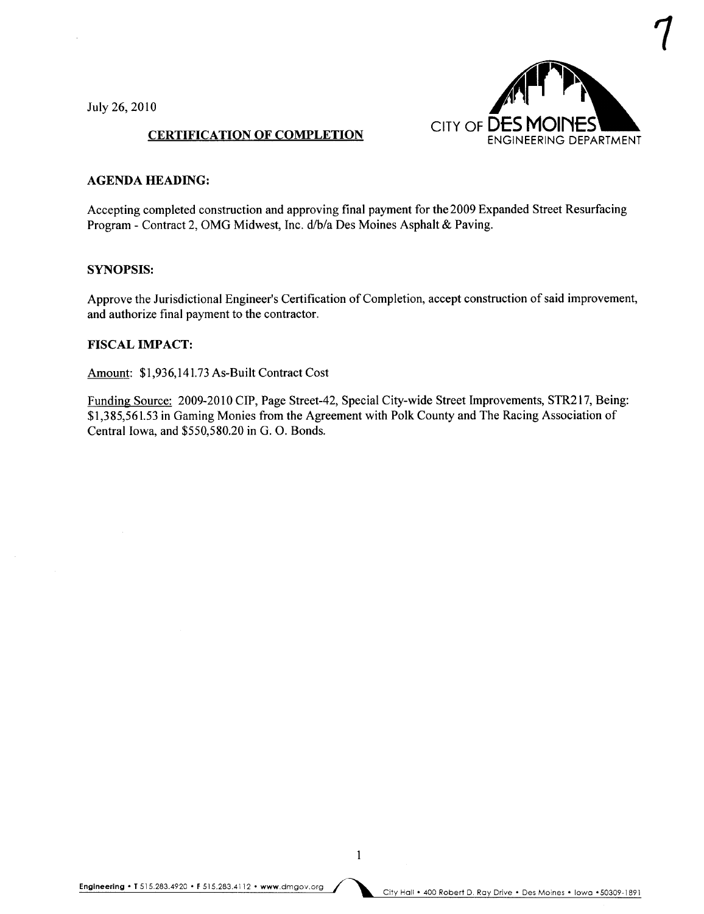July 26,2010



## CERTIFICATION OF COMPLETION

#### AGENDA HEADING:

Accepting completed construction and approving final payment for the 2009 Expanded Street Resurfacing Program - Contract 2, OMG Midwest, Inc. d/b/a Des Moines Asphalt & Paving.

#### SYNOPSIS:

Approve the Jurisdictional Engineer's Certification of Completion, accept construction of said improvement, and authorize final payment to the contractor.

#### **FISCAL IMPACT:**

Amount: \$1,936,141.73 As-Built Contract Cost

Funding Source: 2009-2010 CIP, Page Street-42, Special City-wide Street Improvements, STR217, Being: \$1,385,561.53 in Gaming Monies from the Agreement with Polk County and The Racing Association of Central Iowa, and \$550,580.20 in G. O. Bonds.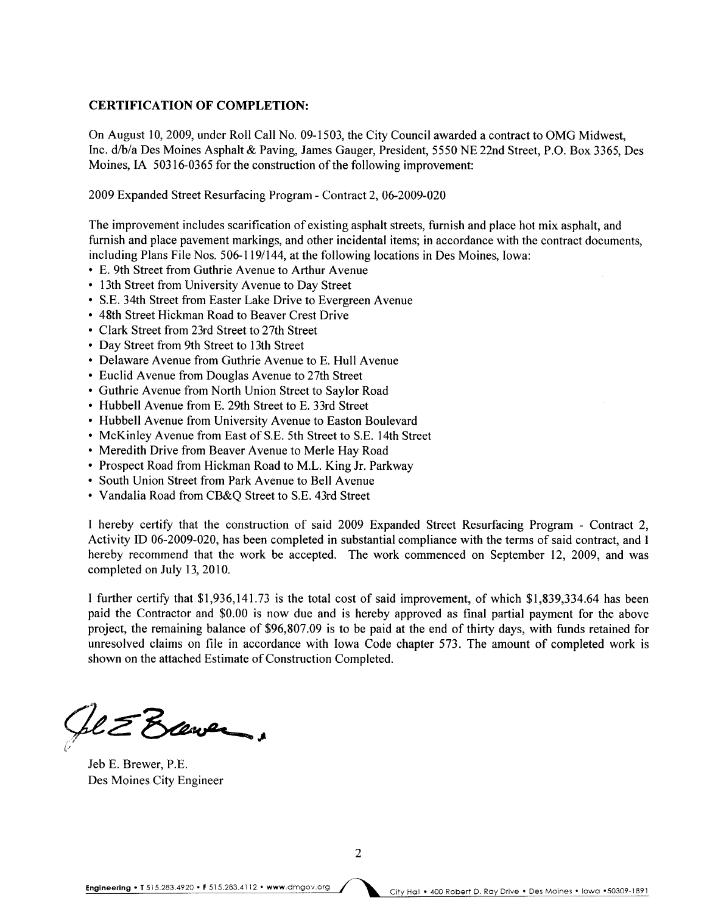### CERTIFICATION OF COMPLETION:

On August 10, 2009, under Roll Call No. 09-1503, the City Council awarded a contract to OMG Midwest, Inc. d/b/a Des Moines Asphalt & Paving, James Gauger, President, 5550 NE 22nd Street, P.O. Box 3365, Des Moines, IA 50316-0365 for the construction of the following improvement:

2009 Expanded Street Resurfacing Program - Contract 2, 06-2009-020

The improvement includes scarification of existing asphalt streets, furnish and place hot mix asphalt, and furnish and place pavement markings, and other incidental items; in accordance with the contract documents, including Plans File Nos. 506-119/144, at the following locations in Des Moines, Iowa:

- E. 9th Street from Guthrie Avenue to Arthur Avenue
- · 13th Street from University Avenue to Day Street
- · S.E. 34th Street from Easter Lake Drive to Evergreen Avenue
- · 48th Street Hickman Road to Beaver Crest Drive
- · Clark Street from 23rd Street to 27th Street
- · Day Street from 9th Street to 13th Street
- Delaware Avenue from Guthrie Avenue to E. Hull Avenue
- · Euclid Avenue from Douglas Avenue to 27th Street
- · Guthrie Avenue from North Union Street to Saylor Road
- · Hubbell Avenue from E. 29th Street to E. 33rd Street
- · Hubbell Avenue from University Avenue to Easton Boulevard
- · McKinley Avenue from East of S.E. 5th Street to S.E. 14th Street
- Meredith Drive from Beaver Avenue to Merle Hay Road
- · Prospect Road from Hickman Road to M.L. King Jr. Parkway
- · South Union Street from Park Avenue to Bell Avenue
- · Vandalia Road from CB&Q Street to S.E. 43rd Street

I hereby certify that the construction of said 2009 Expanded Street Resurfacing Program - Contract 2, Activity ID 06-2009-020, has been completed in substantial compliance with the terms of said contract, and I hereby recommend that the work be accepted. The work commenced on September 12, 2009, and was completed on July 13,2010.

I further certify that \$1,936,141.73 is the total cost of said improvement, of which \$1,839,334.64 has been paid the Contractor and \$0.00 is now due and is hereby approved as final partial payment for the above project, the remaining balance of \$96,807.09 is to be paid at the end of thirty days, with funds retained for unresolved claims on file in accordance with Iowa Code chapter 573. The amount of completed work is shown on the attached Estimate of Construction Completed.

 $bLZ$  Elever,

Jeb E. Brewer, P.E. Des Moines City Engineer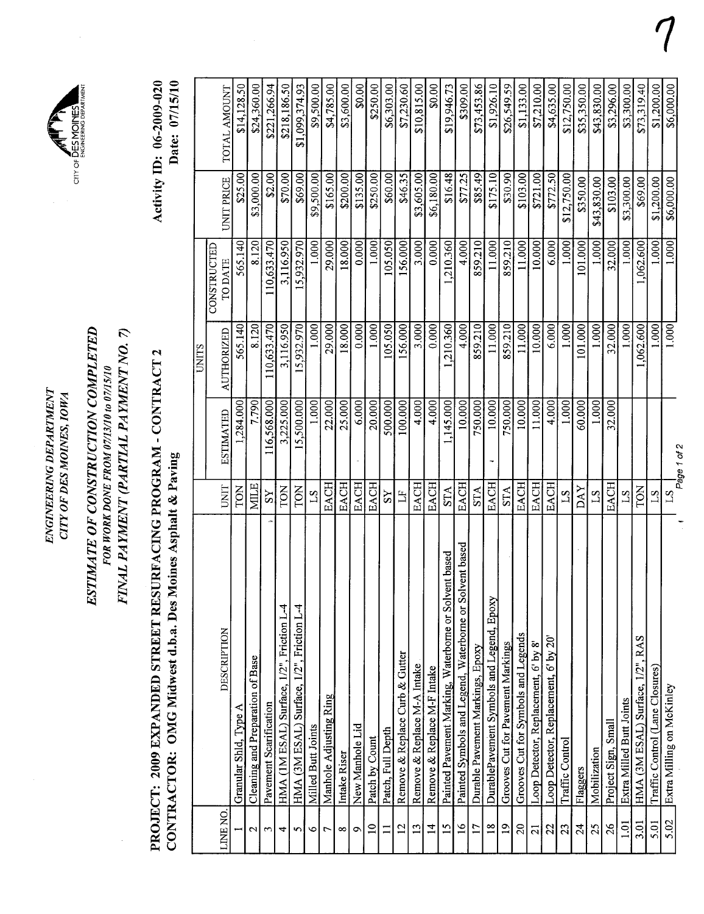| ENGINEERING DEPARTMENT            |                       |
|-----------------------------------|-----------------------|
| <b>CITY OF DES MOINES, IOWA</b>   |                       |
|                                   | CITY OF DES MOINES    |
| <b>N C LE SACRE CONTONINATION</b> | ENGINEERING DEPARTMEN |



PROJECT: 2009 EXPANDED STREET RESURFACING PROGRAM - CONTRACT 2 PROJECT: 2009 EXPANDED STREET RESURFACING PROGRAM - CONTRACT 2 CONTRACTOR: OMG Midwest d.b.a. Des Moines Asphalt & Paving CONTRACTOR: OMG MIdwest d.b.a. Des Moines Asphalt & Paving

Activity ID: 06-2009-020 Date: 07/15/10 Activity ID: 06-2009-020 Date: 07/15/10

ENGINEERING DEPARTMENT

|       |                   | \$14,128.50<br>TOTAL AMOUNT | \$24,360.00                      | \$221,266.94           | \$218,186.50                              | \$1,099,374.93                            | \$9,500.00         | \$4,785.00             | \$3,600.00   | \$0.00          | \$250.00        | \$6,303.00        | \$7,230.60                     | \$10,815.00                 | \$0.00                      | \$19,946.73                                               | \$309.00                                                | \$73,453.86                      | \$1,926.10                                | \$26,549.59                       | \$1,133.00                          | \$7,210.00                           | \$4,635.00                            | \$12,750.00     | \$35,350.00 | \$43,830.00  | \$3,296.00          | \$3,300.00               | \$73,319.40                      | \$1,200.00                      | \$6,000.00                |
|-------|-------------------|-----------------------------|----------------------------------|------------------------|-------------------------------------------|-------------------------------------------|--------------------|------------------------|--------------|-----------------|-----------------|-------------------|--------------------------------|-----------------------------|-----------------------------|-----------------------------------------------------------|---------------------------------------------------------|----------------------------------|-------------------------------------------|-----------------------------------|-------------------------------------|--------------------------------------|---------------------------------------|-----------------|-------------|--------------|---------------------|--------------------------|----------------------------------|---------------------------------|---------------------------|
|       |                   | \$25.00<br>UNIT PRICE       | \$3,000.00                       | \$2.00                 | \$70.00                                   | \$69.00                                   | \$9,500.00         | \$165.00               | \$200.00     | \$135.00        | \$250.00        | \$60.00           | \$46.35                        | \$3,605.00                  | \$6,180.00                  | \$16.48                                                   | \$77.25                                                 | \$85.49                          | \$175.10                                  | \$30.90                           | \$103.00                            | \$721.00                             | \$772.50                              | \$12,750.00     | \$350.00    | \$43,830.00  | \$103.00            | \$3,300.00               | \$69.00                          | 1,200.00                        | \$6,000.00                |
|       | CONSTRUCTED       | 565.140<br><b>TO DATE</b>   | 8.120                            | 10,633.470             | 3,116.950                                 | 5,932.970                                 | 1.000              | 29.000                 | 18.000       | 0.000           | 1.000           | 105.050           | 156.000                        | 3.000                       | 0.000                       | 1,210.360                                                 | 4.000                                                   | 859.210                          | 11.000                                    | 859.210                           | 11.000                              | 10.000                               | 6.000                                 | 1.000           | 101.000     | 1.000        | 32.000              | 1.000                    | 1,062.600                        | 1.000                           | 1.000                     |
| UNITS | <b>AUTHORIZED</b> | 565.140                     | 8.120                            | 110,633.470            | 3,116.950                                 | 5,932.970                                 | 1.000              | 29.000                 | 18.000       | 0.000           | 1.000           | 105.050           | 156.000                        | 3.000                       | 0.000                       | 1,210.360                                                 | 4.000                                                   | 859.210                          | 11.000                                    | 859.210                           | 11.000                              | 10.000                               | 6.000                                 | 1.000           | 101.000     | 1.000        | 32.000              | 1.000                    | 1,062.600                        | 1.000                           | 1.000                     |
|       | <b>ESTIMATED</b>  | 1,284.000                   | 7.790                            | 116,568.000            | 3,225.000                                 | 15,500.000                                | 1.000              | 22.000                 | 25.000       | 6.000           | 20.000          | 500.000           | 100.000                        | 4.000                       | 4.000                       | ,145.000                                                  | 10.000                                                  | 750.000                          | 10.000                                    | 750.000                           | 10.000                              | 11.000                               | 4.000                                 | 1.000           | 60.000      | 1.000        | 32.000              |                          |                                  |                                 | Page 1 of 2               |
|       | UNIT              | TON                         | <b>MILE</b>                      | $\overline{S}$         | TON                                       | TON                                       | $\mathbf{5}$       | <b>EACH</b>            | EACH         | <b>EACH</b>     | EACH            | $\overline{S}$    | $\mathbb{H}$                   | <b>EACH</b>                 | EACH                        | <b>STA</b>                                                | <b>EACH</b>                                             | <b>STA</b>                       | EACH                                      | <b>STA</b>                        | <b>EACH</b>                         | <b>EACH</b>                          | <b>EACH</b>                           | $^{21}$         | DAY         | $^{21}$      | EACH                | $^{21}$                  | TON                              | $^{21}$                         | S <sub>T</sub>            |
|       | DESCRIPTION       | Granular Shld, Type A       | Cleaning and Preparation of Base | Pavement Scarification | HMA (IM ESAL) Surface, 1/2", Friction L-4 | HMA (3M ESAL) Surface, 1/2", Friction L-4 | Milled Butt Joints | Manhole Adjusting Ring | Intake Riser | New Manhole Lid | Patch by Count  | Patch, Full Depth | Remove & Replace Curb & Gutter | Remove & Replace M-A Intake | Remove & Replace M-F Intake | ent based<br>Painted Pavement Marking, Waterborne or Solv | Painted Symbols and Legend, Waterborne or Solvent based | Durable Pavement Markings, Epoxy | DurablePavement Symbols and Legend, Epoxy | Grooves Cut for Pavement Markings | Grooves Cut for Symbols and Legends | Loop Detector, Replacement, 6' by 8' | Loop Detector, Replacement, 6' by 20' | Traffic Control | Flaggers    | Mobilization | Project Sign, Small | Extra Milled Butt Joints | HMA (3M ESAL) Surface, 1/2", RAS | Traffic Control (Lane Closures) | Extra Milling on McKinley |
|       | <b>DNEW</b>       |                             | $\mathbf{\Omega}$                | $\sim$                 | 4                                         | n1                                        | $\circ$            | $\overline{ }$         | $\infty$     | $\circ$         | $\overline{10}$ | Ξ                 | $\overline{\mathbf{c}}$        | $\overline{13}$             | $\overline{4}$              | $\overline{5}$                                            | $\overline{a}$                                          | $\overline{17}$                  | $\frac{8}{18}$                            | $\overline{0}$                    | $\Omega$                            | $\overline{a}$                       | 22                                    | 23              | 24          | 25           | 26                  | <u>គ្ន</u>               | 3.01                             | 5.01                            | 5.02                      |

~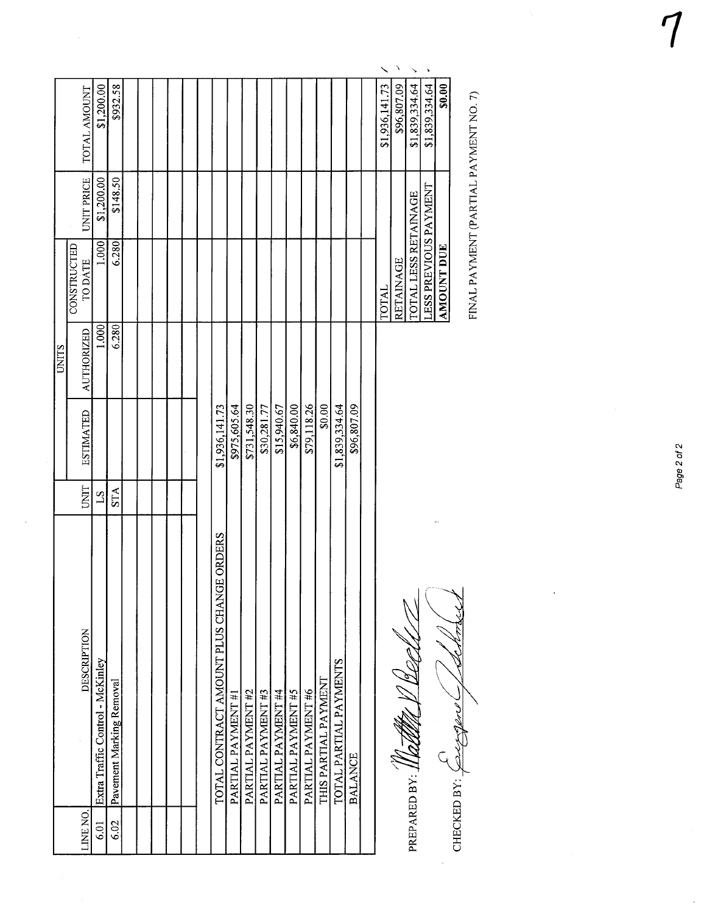|              | TOTAL AMOUNT                  | \$1,200.00                       | \$932.58                 |  |  |  |                                                     |                    |                    |                   |                    |                    |                    |                      |                        |                | \$1,936,141.73 |
|--------------|-------------------------------|----------------------------------|--------------------------|--|--|--|-----------------------------------------------------|--------------------|--------------------|-------------------|--------------------|--------------------|--------------------|----------------------|------------------------|----------------|----------------|
|              | UNIT PRICE                    | \$1,200.00                       | \$148.50                 |  |  |  |                                                     |                    |                    |                   |                    |                    |                    |                      |                        |                |                |
|              | CONSTRUCTED<br><b>TO DATE</b> | 1.000                            | 6.280                    |  |  |  |                                                     |                    |                    |                   |                    |                    |                    |                      |                        |                | TOTAL          |
| <b>UNITS</b> | <b>AUTHORIZED</b>             | 1.000                            | 6.280                    |  |  |  |                                                     |                    |                    |                   |                    |                    |                    |                      |                        |                |                |
|              | <b>ESTIMATED</b>              |                                  |                          |  |  |  | \$1,936,141.73                                      | \$975,605.64       | \$731,548.30       | \$30,281.77       | \$15,940.67        | \$6,840.00         | \$79,118.26        | \$0.00               | \$1,839,334.64         | \$96,807.09    |                |
|              | UNIT                          | $^{21}$                          | <b>STA</b>               |  |  |  |                                                     |                    |                    |                   |                    |                    |                    |                      |                        |                |                |
|              | <b>DESCRIPTION</b>            | Extra Traffic Control - McKinley | Pavement Marking Removal |  |  |  | <b>E ORDERS</b><br>TOTAL CONTRACT AMOUNT PLUS CHANG | PARTIAL PAYMENT #1 | PARTIAL PAYMENT #2 | PARTIAL PAYMENT#3 | PARTIAL PAYMENT #4 | PARTIAL PAYMENT #5 | PARTIAL PAYMENT #6 | THIS PARTIAL PAYMENT | TOTAL PARTIAL PAYMENTS | <b>BALANCE</b> |                |
|              | LINE NO.                      | 6.01                             | 6.02                     |  |  |  |                                                     |                    |                    |                   |                    |                    |                    |                      |                        |                |                |

PREPARED BY: 1100000 V

REPARED BY: <u>II RICHALL I DECTON CAN CONTRIBUTION INSTRUITIONS RATIVIERT (PARTIAL SISSES ACTOR)</u><br>ANOUNT AVERY PARTIAL PARTIAL PARTIAL PARTIES DE L'ARTIAL PAYMENT (PARTIAL PAYMENT NO.7)<br>1993 - Andrew CHECKED BY: A Contribut الكلهما CHECKED BY:  $\overbrace{\text{C1}}$  $\zeta$ 

 $\overline{\frac{$1,839,334.64}{}}$  $$1,839,334.64$  .  $| 0.00 |$ TOTAL \$1,936,141.73 PREFACES LES TERMANAGE TRENANDERELLA COMPARENT DE RACINAGE EN EN ENGREGIA (PARAGE EN EL CORAL LES RETAINAGE EN<br>POLICIAL LES RESPONDEN EN ENGRETAINOT DE RACINAGE EN ENGRE EN EL CORAL LES RETAINAGE EN ESTADO (PARAGE EN ENGR<br> LESS PREVIOUS PAYMENT \$1,839,334.64  $\Delta M \overline{O}$ UNT DUE **LESS PREVIOUS PAYMENT**<br>AMOUNT DUE TOTAL LESS RETAINAGE **ADAMATER** 

"

FINAL PAYMENT (PARTIAL PAYMENT NO. 7)

Page 2 of 2

 $\int$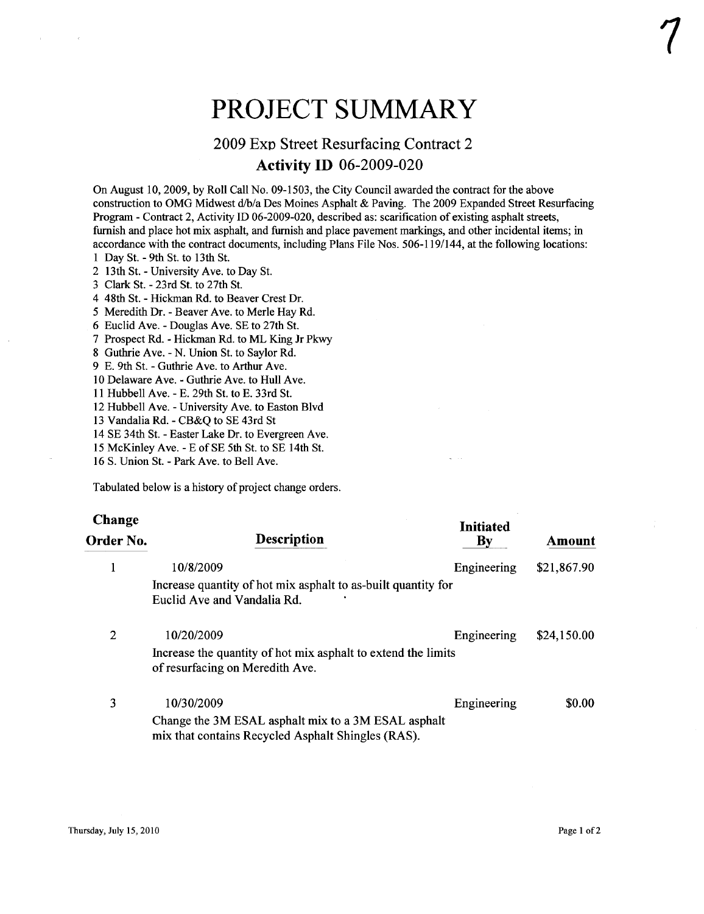# PROJECT SUMMARY

# 2009 Exp Street Resurfacing Contract 2 Activity ID 06-2009-020

On August 10,2009, by Roll Call No. 09-1503, the City Council awarded the contract for the above construction to OMG Midwest d/b/a Des Moines Asphalt & Paving. The 2009 Expanded Street Resurfacing Program - Contract 2, Activity ID 06-2009-020, described as: scarification of existing asphalt streets, furnish and place hot mix asphalt, and furnish and place pavement markings, and other incidental items; in accordance with the contract documents, including Plans File Nos. 506-119/144, at the following locations:

1 Day St. - 9th St. to 13th St.

2 13th St. - University Ave. to Day St.

3 Clark St. - 23rd St. to 27th St.

4 48th St. - Hickman Rd. to Beaver Crest Dr.

5 Meredith Dr. - Beaver Ave. to Merle Hay Rd.

6 Euclid Ave. - Douglas Ave. SE to 27th St.

7 Prospect Rd. - Hickman Rd. to ML King Jr Pkw

8 Guthrie Ave. - N. Union St. to Saylor Rd.

9 E. 9th St. - Guthrie Ave. to Arthur Ave.

10 Delaware Ave. - Guthrie Ave. to Hull Ave.

11 Hubbell Ave. - E. 29th St. to E. 33rd St.

12 Hubbell Ave. - University Ave. to Easton Blvd

13 Vandalia Rd. - CB&Q to SE 43rd St

14 SE 34th St. - Easter Lake Dr. to Evergreen Ave.

15 McKinley Ave. - E of SE 5th St. to SE 14th St.

16 S. Union St. - Park Ave. to Bell Ave.

Tabulated below is a history of project change orders.

| <b>Change</b><br>Order No. | Description                                                                                                             | <b>Initiated</b><br>By | Amount      |
|----------------------------|-------------------------------------------------------------------------------------------------------------------------|------------------------|-------------|
|                            | 10/8/2009<br>Increase quantity of hot mix asphalt to as-built quantity for<br>Euclid Ave and Vandalia Rd.               | Engineering            | \$21,867.90 |
| 2                          | 10/20/2009<br>Increase the quantity of hot mix asphalt to extend the limits<br>of resurfacing on Meredith Ave.          | Engineering            | \$24,150.00 |
| 3                          | 10/30/2009<br>Change the 3M ESAL asphalt mix to a 3M ESAL asphalt<br>mix that contains Recycled Asphalt Shingles (RAS). | Engineering            | \$0.00      |

 $\frac{1}{2}$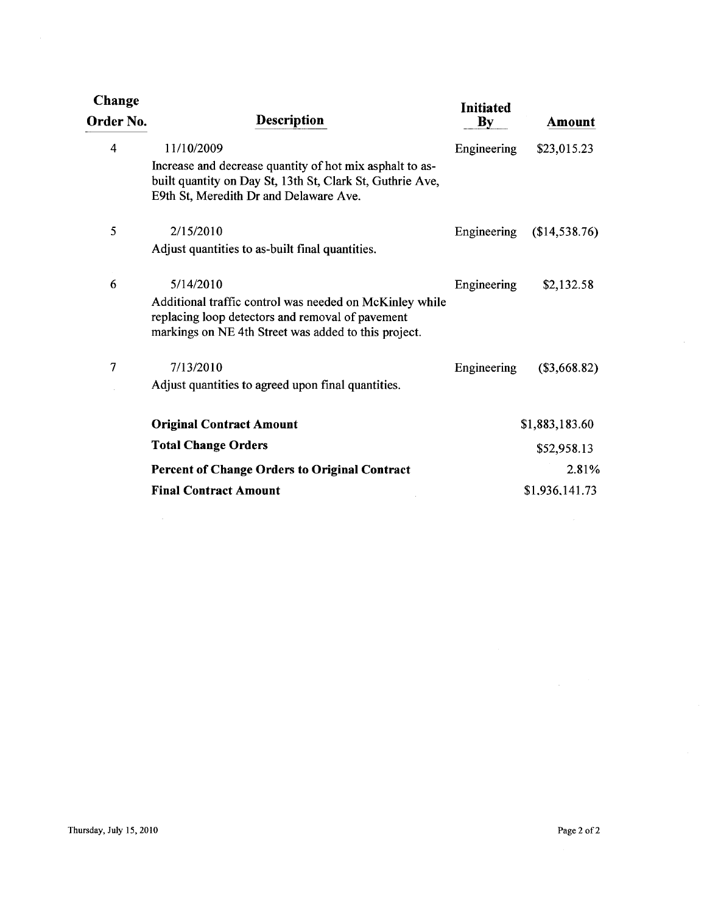| Change<br>Order No. | <b>Description</b>                                                                                                                                                               | <b>Initiated</b><br>$\mathbf{B}\mathbf{y}$ | Amount         |
|---------------------|----------------------------------------------------------------------------------------------------------------------------------------------------------------------------------|--------------------------------------------|----------------|
| 4                   | 11/10/2009<br>Increase and decrease quantity of hot mix asphalt to as-<br>built quantity on Day St, 13th St, Clark St, Guthrie Ave,<br>E9th St, Meredith Dr and Delaware Ave.    | Engineering                                | \$23,015.23    |
| 5                   | 2/15/2010<br>Adjust quantities to as-built final quantities.                                                                                                                     | Engineering                                | (\$14,538.76)  |
| 6                   | 5/14/2010<br>Additional traffic control was needed on McKinley while<br>replacing loop detectors and removal of pavement<br>markings on NE 4th Street was added to this project. | Engineering                                | \$2,132.58     |
| $\overline{7}$      | 7/13/2010<br>Adjust quantities to agreed upon final quantities.                                                                                                                  | Engineering                                | $(\$3,668.82)$ |
|                     | <b>Original Contract Amount</b>                                                                                                                                                  |                                            | \$1,883,183.60 |
|                     | <b>Total Change Orders</b>                                                                                                                                                       |                                            | \$52,958.13    |
|                     | <b>Percent of Change Orders to Original Contract</b>                                                                                                                             |                                            | 2.81%          |
|                     | <b>Final Contract Amount</b>                                                                                                                                                     |                                            | \$1,936,141.73 |